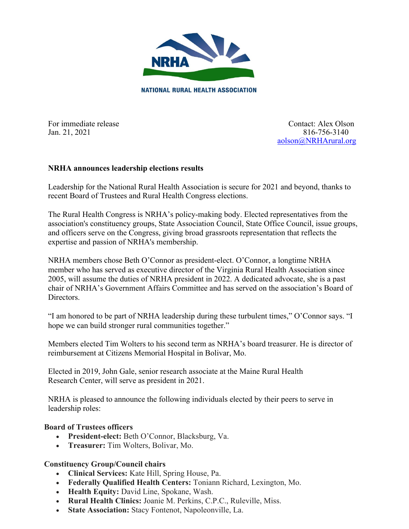

For immediate release Contact: Alex Olson

Jan. 21, 2021 816-756-3140 [aolson@NRHArural.org](mailto:aolson@NRHArural.org)

### **NRHA announces leadership elections results**

Leadership for the National Rural Health Association is secure for 2021 and beyond, thanks to recent Board of Trustees and Rural Health Congress elections.

The Rural Health Congress is NRHA's policy-making body. Elected representatives from the association's constituency groups, State Association Council, State Office Council, issue groups, and officers serve on the Congress, giving broad grassroots representation that reflects the expertise and passion of NRHA's membership.

NRHA members chose Beth O'Connor as president-elect. O'Connor, a longtime NRHA member who has served as executive director of the Virginia Rural Health Association since 2005, will assume the duties of NRHA president in 2022. A dedicated advocate, she is a past chair of NRHA's Government Affairs Committee and has served on the association's Board of Directors.

"I am honored to be part of NRHA leadership during these turbulent times," O'Connor says. "I hope we can build stronger rural communities together."

Members elected Tim Wolters to his second term as NRHA's board treasurer. He is director of reimbursement at Citizens Memorial Hospital in Bolivar, Mo.

Elected in 2019, John Gale, senior research associate at the Maine Rural Health Research Center, will serve as president in 2021.

NRHA is pleased to announce the following individuals elected by their peers to serve in leadership roles:

### **Board of Trustees officers**

- **President-elect:** Beth O'Connor, Blacksburg, Va.
- **Treasurer:** Tim Wolters, Bolivar, Mo.

## **Constituency Group/Council chairs**

- **Clinical Services:** Kate Hill, Spring House, Pa.
- **Federally Qualified Health Centers:** Toniann Richard, Lexington, Mo.
- **Health Equity:** David Line, Spokane, Wash.
- **Rural Health Clinics:** Joanie M. Perkins, C.P.C., Ruleville, Miss.
- **State Association:** Stacy Fontenot, Napoleonville, La.